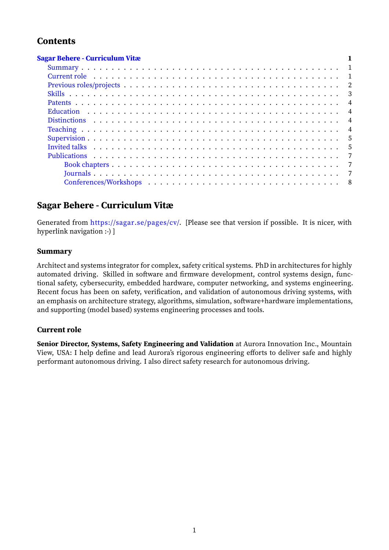# **Contents**

| <b>Sagar Behere - Curriculum Vitæ</b>                                                                                                                                                                                          |  |                          |
|--------------------------------------------------------------------------------------------------------------------------------------------------------------------------------------------------------------------------------|--|--------------------------|
|                                                                                                                                                                                                                                |  |                          |
| Current role (a), and a subset of the current role of the set of the set of the set of the current role of the set of the set of the set of the set of the set of the set of the set of the set of the set of the set of the s |  |                          |
|                                                                                                                                                                                                                                |  |                          |
|                                                                                                                                                                                                                                |  | $\overline{\phantom{a}}$ |
|                                                                                                                                                                                                                                |  | $\overline{4}$           |
|                                                                                                                                                                                                                                |  | $\overline{4}$           |
|                                                                                                                                                                                                                                |  | $\overline{4}$           |
|                                                                                                                                                                                                                                |  | $\overline{4}$           |
|                                                                                                                                                                                                                                |  | - 5                      |
|                                                                                                                                                                                                                                |  |                          |
|                                                                                                                                                                                                                                |  | $\overline{7}$           |
|                                                                                                                                                                                                                                |  |                          |
|                                                                                                                                                                                                                                |  | $\overline{7}$           |
|                                                                                                                                                                                                                                |  | - 8                      |

# **Sagar [Behere](#page-6-2) [‑ Cu](#page-6-1)rriculum Vitæ**

<span id="page-0-0"></span>Generated from [https://sagar.se](#page-7-0)/pages/cv/. [Please see that version if possible. It is nicer, with hyperlink navigation :-) ]

# **Summary**

<span id="page-0-1"></span>Architect and systems integrator for complex, safety critical systems. PhD in architectures for highly automated driving. Skilled in software and firmware development, control systems design, functional safety, cybersecurity, embedded hardware, computer networking, and systems engineering. Recent focus has been on safety, verification, and validation of autonomous driving systems, with an emphasis on architecture strategy, algorithms, simulation, software+hardware implementations, and supporting (model based) systems engineering processes and tools.

## **Current role**

<span id="page-0-2"></span>**Senior Director, Systems, Safety Engineering and Validation** at Aurora Innovation Inc., Mountain View, USA: I help define and lead Aurora's rigorous engineering efforts to deliver safe and highly performant autonomous driving. I also direct safety research for autonomous driving.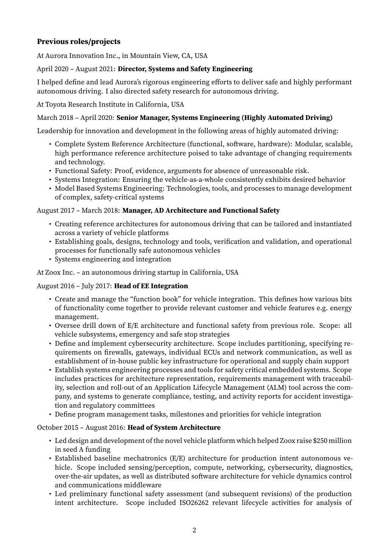# <span id="page-1-0"></span>**Previous roles/projects**

At Aurora Innovation Inc., in Mountain View, CA, USA

# April 2020 – August 2021: **Director, Systems and Safety Engineering**

I helped define and lead Aurora's rigorous engineering efforts to deliver safe and highly performant autonomous driving. I also directed safety research for autonomous driving.

At Toyota Research Institute in California, USA

# March 2018 – April 2020: **Senior Manager, Systems Engineering (Highly Automated Driving)**

Leadership for innovation and development in the following areas of highly automated driving:

- Complete System Reference Architecture (functional, software, hardware): Modular, scalable, high performance reference architecture poised to take advantage of changing requirements and technology.
- Functional Safety: Proof, evidence, arguments for absence of unreasonable risk.
- Systems Integration: Ensuring the vehicle‑as‑a‑whole consistently exhibits desired behavior
- Model Based Systems Engineering: Technologies, tools, and processes to manage development of complex, safety‑critical systems

## August 2017 – March 2018: **Manager, AD Architecture and Functional Safety**

- Creating reference architectures for autonomous driving that can be tailored and instantiated across a variety of vehicle platforms
- Establishing goals, designs, technology and tools, verification and validation, and operational processes for functionally safe autonomous vehicles
- Systems engineering and integration

At Zoox Inc. – an autonomous driving startup in California, USA

## August 2016 – July 2017: **Head of EE Integration**

- Create and manage the "function book" for vehicle integration. This defines how various bits of functionality come together to provide relevant customer and vehicle features e.g. energy management.
- Oversee drill down of E/E architecture and functional safety from previous role. Scope: all vehicle subsystems, emergency and safe stop strategies
- Define and implement cybersecurity architecture. Scope includes partitioning, specifying requirements on firewalls, gateways, individual ECUs and network communication, as well as establishment of in‑house public key infrastructure for operational and supply chain support
- Establish systems engineering processes and tools for safety critical embedded systems. Scope includes practices for architecture representation, requirements management with traceability, selection and roll-out of an Application Lifecycle Management (ALM) tool across the company, and systems to generate compliance, testing, and activity reports for accident investigation and regulatory committees
- Define program management tasks, milestones and priorities for vehicle integration

# October 2015 – August 2016: **Head of System Architecture**

- Led design and development of the novel vehicle platform which helped Zoox raise \$250 million in seed A funding
- Established baseline mechatronics (E/E) architecture for production intent autonomous ve‑ hicle. Scope included sensing/perception, compute, networking, cybersecurity, diagnostics, over-the-air updates, as well as distributed software architecture for vehicle dynamics control and communications middleware
- Led preliminary functional safety assessment (and subsequent revisions) of the production intent architecture. Scope included ISO26262 relevant lifecycle activities for analysis of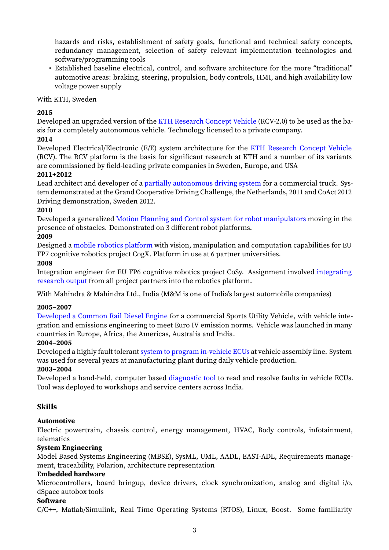hazards and risks, establishment of safety goals, functional and technical safety concepts, redundancy management, selection of safety relevant implementation technologies and software/programming tools

• Established baseline electrical, control, and software architecture for the more "traditional" automotive areas: braking, steering, propulsion, body controls, HMI, and high availability low voltage power supply

## With KTH, Sweden

# **2015**

Developed an upgraded version of the KTH Research Concept Vehicle (RCV-2.0) to be used as the basis for a completely autonomous vehicle. Technology licensed to a private company.

# **2014**

Developed Electrical/Electronic (E/E) system architecture for the KTH Research Concept Vehicle (RCV). The RCV platform is the basis [for significant research at KTH](https://www.itrl.kth.se/projects/kth-rcv/kth-research-concept-vehicle-1.476469) and a number of its variants are commissioned by field‑leading private companies in Sweden, Europe, and USA

# **2011+2012**

Lead architect and developer of a partially autonomous driving system for a commercial truck. System demonstrated at the Grand Cooperative Driving Challenge, the Netherlands, 2011 and CoAct 2012 Driving demonstration, Sweden 2012.

# **2010**

Developed a generalized Motion [Planning and Control system for robot](https://sagar.se/pages/self-driving-trucks-scoop-and-coact/) manipulators moving in the presence of obstacles. Demonstrated on 3 different robot platforms.

## **2009**

Designed a mobile robotics platform with vision, manipulation and computation capabilities for EU FP7 cognitive robotics pr[oject CogX. Platform in use at 6 partner universities.](https://sagar.se/sarathi/pages/start.html)

# **2008**

Integration engineer for EU FP6 cognitive robotics project CoSy. Assignment involved integrating research output [from all project part](https://sagar.se/pages/summer-projects-at-kth-2008-2009/#cogx)ners into the robotics platform.

With Mahindra & Mahindra Ltd., India (M&M is one of India's largest automobile companies)

## **2005–2007**

[Developed a Com](https://sagar.se/pages/summer-projects-at-kth-2008-2009/#cosy)mon Rail Diesel Engine for a commercial Sports Utility Vehicle, with vehicle integration and emissions engineering to meet Euro IV emission norms. Vehicle was launched in many countries in Europe, Africa, the Americas, Australia and India.

# **2004–2005**

[Developed a highly fault tolerant](https://sagar.se/pages/projects-at-mahindra-mahindra-ltd-2003-2007/#euro4) system to program in‑vehicle ECUs at vehicle assembly line. System was used for several years at manufacturing plant during daily vehicle production.

## **2003–2004**

Developed a hand-held, computer based diagnostic tool to read and resolve faults in vehicle ECUs. Tool was deployed to workshops [and service centers across India.](https://sagar.se/pages/projects-at-mahindra-mahindra-ltd-2003-2007/#eol)

# **Skills**

# **Automotive**

<span id="page-2-0"></span>Electric powertrain, chassis control, energy management, HVAC, Body controls, infotainment, telematics

# **System Engineering**

Model Based Systems Engineering (MBSE), SysML, UML, AADL, EAST‑ADL, Requirements manage‑ ment, traceability, Polarion, architecture representation

## **Embedded hardware**

Microcontrollers, board bringup, device drivers, clock synchronization, analog and digital i/o, dSpace autobox tools

## **Software**

C/C++, Matlab/Simulink, Real Time Operating Systems (RTOS), Linux, Boost. Some familiarity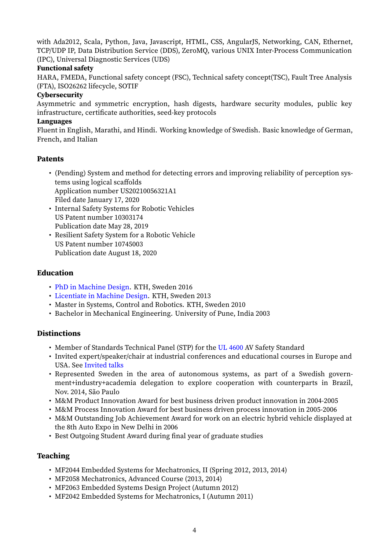with Ada2012, Scala, Python, Java, Javascript, HTML, CSS, AngularJS, Networking, CAN, Ethernet, TCP/UDP IP, Data Distribution Service (DDS), ZeroMQ, various UNIX Inter-Process Communication (IPC), Universal Diagnostic Services (UDS)

#### **Functional safety**

HARA, FMEDA, Functional safety concept (FSC), Technical safety concept(TSC), Fault Tree Analysis (FTA), ISO26262 lifecycle, SOTIF

#### **Cybersecurity**

Asymmetric and symmetric encryption, hash digests, hardware security modules, public key infrastructure, certificate authorities, seed-key protocols

#### **Languages**

Fluent in English, Marathi, and Hindi. Working knowledge of Swedish. Basic knowledge of German, French, and Italian

#### **Patents**

- <span id="page-3-0"></span>• (Pending) System and method for detecting errors and improving reliability of perception sys‑ tems using logical scaffolds Application number US20210056321A1 Filed date January 17, 2020
- Internal Safety Systems for Robotic Vehicles US Patent number 10303174 Publication date May 28, 2019
- Resilient Safety System for a Robotic Vehicle US Patent number 10745003 Publication date August 18, 2020

#### **Education**

- PhD in Machine Design. KTH, Sweden 2016
- Licentiate in Machine Design. KTH, Sweden 2013
- <span id="page-3-1"></span>• Master in Systems, Control and Robotics. KTH, Sweden 2010
- [Bachelor in Mechanical](https://sagar.se/pages/phd-thesis/) Engineering. University of Pune, India 2003

## **Disti[nctions](https://sagar.se/pages/licentiate-thesis/)**

- Member of Standards Technical Panel (STP) for the UL 4600 AV Safety Standard
- <span id="page-3-2"></span>• Invited expert/speaker/chair at industrial conferences and educational courses in Europe and USA. See Invited talks
- Represented Sweden in the area of autonomous systems, as part of a Swedish government+industry+academia delegation to explore [cooperat](https://ul.org/UL4600)ion with counterparts in Brazil, Nov. 2014, São Paulo
- M&M Pr[oduct Innovat](#page-4-2)ion Award for best business driven product innovation in 2004‑2005
- M&M Process Innovation Award for best business driven process innovation in 2005‑2006
- M&M Outstanding Job Achievement Award for work on an electric hybrid vehicle displayed at the 8th Auto Expo in New Delhi in 2006
- Best Outgoing Student Award during final year of graduate studies

## **Teaching**

- MF2044 Embedded Systems for Mechatronics, II (Spring 2012, 2013, 2014)
- MF2058 Mechatronics, Advanced Course (2013, 2014)
- <span id="page-3-3"></span>• MF2063 Embedded Systems Design Project (Autumn 2012)
- MF2042 Embedded Systems for Mechatronics, I (Autumn 2011)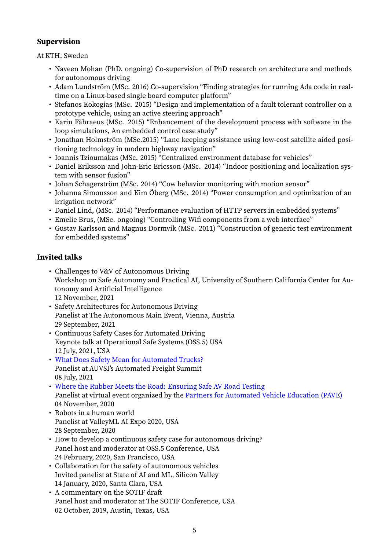# **Supervision**

At KTH, Sweden

- <span id="page-4-0"></span>• Naveen Mohan (PhD. ongoing) Co-supervision of PhD research on architecture and methods for autonomous driving
- Adam Lundström (MSc. 2016) Co-supervision "Finding strategies for running Ada code in realtime on a Linux-based single board computer platform"
- Stefanos Kokogias (MSc. 2015) "Design and implementation of a fault tolerant controller on a prototype vehicle, using an active steering approach"
- Karin Fåhraeus (MSc. 2015) "Enhancement of the development process with software in the loop simulations, An embedded control case study"
- Jonathan Holmström (MSc.2015) "Lane keeping assistance using low-cost satellite aided positioning technology in modern highway navigation"
- Ioannis Tzioumakas (MSc. 2015) "Centralized environment database for vehicles"
- Daniel Eriksson and John-Eric Ericsson (MSc. 2014) "Indoor positioning and localization system with sensor fusion"
- Johan Schagerström (MSc. 2014) "Cow behavior monitoring with motion sensor"
- Johanna Simonsson and Kim Öberg (MSc. 2014) "Power consumption and optimization of an irrigation network"
- Daniel Lind, (MSc. 2014) "Performance evaluation of HTTP servers in embedded systems"
- Emelie Brus, (MSc. ongoing) "Controlling Wifi components from a web interface"
- Gustav Karlsson and Magnus Dormvik (MSc. 2011) "Construction of generic test environment for embedded systems"

# **Invited talks**

- <span id="page-4-2"></span><span id="page-4-1"></span>• Challenges to V&V of Autonomous Driving Workshop on Safe Autonomy and Practical AI, University of Southern California Center for Autonomy and Artificial Intelligence 12 November, 2021
- Safety Architectures for Autonomous Driving Panelist at The Autonomous Main Event, Vienna, Austria 29 September, 2021
- Continuous Safety Cases for Automated Driving Keynote talk at Operational Safe Systems (OSS.5) USA 12 July, 2021, USA
- What Does Safety Mean for Automated Trucks? Panelist at AUVSI's Automated Freight Summit 08 July, 2021
- Where the Rubber Meets the Road: Ensuring Safe AV Road Testing [Panelist at virtual event organized by the](https://vimeo.com/572812269/23d2c29b30) Partners for Automated Vehicle Education (PAVE) 04 November, 2020
- Robots in a human world [Panelist at ValleyML AI Expo 2020, USA](https://www.youtube.com/watch?v=z0uelzYC1nw) 28 September, 2020
- How to develop a continuous safety case for autonomous driving? Panel host and moderator at OSS.5 Conference, USA 24 February, 2020, San Francisco, USA
- Collaboration for the safety of autonomous vehicles Invited panelist at State of AI and ML, Silicon Valley 14 January, 2020, Santa Clara, USA
- A commentary on the SOTIF draft Panel host and moderator at The SOTIF Conference, USA 02 October, 2019, Austin, Texas, USA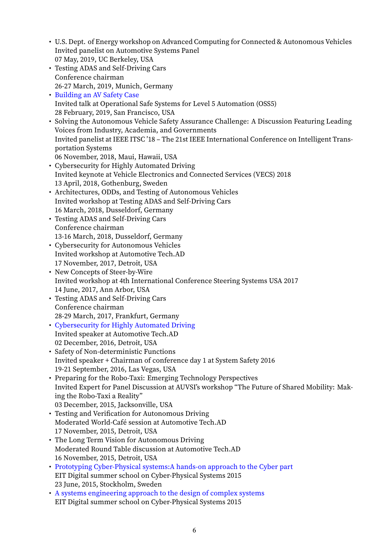- U.S. Dept. of Energy workshop on Advanced Computing for Connected & Autonomous Vehicles Invited panelist on Automotive Systems Panel 07 May, 2019, UC Berkeley, USA
- Testing ADAS and Self‑Driving Cars Conference chairman 26‑27 March, 2019, Munich, Germany
- Building an AV Safety Case Invited talk at Operational Safe Systems for Level 5 Automation (OSS5) 28 February, 2019, San Francisco, USA
- Solving the Autonomous Vehicle Safety Assurance Challenge: A Discussion Featuring Leading [Voices from Industry, Acad](https://sagar.se/presentations/BuildingAnAVSafetyCase.pdf)emia, and Governments Invited panelist at IEEE ITSC '18 – The 21st IEEE International Conference on Intelligent Trans‑ portation Systems 06 November, 2018, Maui, Hawaii, USA
- Cybersecurity for Highly Automated Driving Invited keynote at Vehicle Electronics and Connected Services (VECS) 2018 13 April, 2018, Gothenburg, Sweden
- Architectures, ODDs, and Testing of Autonomous Vehicles Invited workshop at Testing ADAS and Self‑Driving Cars 16 March, 2018, Dusseldorf, Germany
- Testing ADAS and Self‑Driving Cars Conference chairman 13‑16 March, 2018, Dusseldorf, Germany
- Cybersecurity for Autonomous Vehicles Invited workshop at Automotive Tech.AD 17 November, 2017, Detroit, USA
- New Concepts of Steer-by-Wire Invited workshop at 4th International Conference Steering Systems USA 2017 14 June, 2017, Ann Arbor, USA
- Testing ADAS and Self-Driving Cars Conference chairman 28‑29 March, 2017, Frankfurt, Germany
- Cybersecurity for Highly Automated Driving Invited speaker at Automotive Tech.AD 02 December, 2016, Detroit, USA
- Safety of Non‑deterministic Functions [Invited speaker + Chairman of conference da](https://sagar.se/presentations/cybersecurity-techad.pdf)y 1 at System Safety 2016 19‑21 September, 2016, Las Vegas, USA
- Preparing for the Robo-Taxi: Emerging Technology Perspectives Invited Expert for Panel Discussion at AUVSI's workshop "The Future of Shared Mobility: Mak‑ ing the Robo‑Taxi a Reality" 03 December, 2015, Jacksonville, USA
- Testing and Verification for Autonomous Driving Moderated World‑Café session at Automotive Tech.AD 17 November, 2015, Detroit, USA
- The Long Term Vision for Autonomous Driving Moderated Round Table discussion at Automotive Tech.AD 16 November, 2015, Detroit, USA
- Prototyping Cyber-Physical systems:A hands-on approach to the Cyber part EIT Digital summer school on Cyber‑Physical Systems 2015 23 June, 2015, Stockholm, Sweden
- A systems engineering approach to the design of complex systems [EIT Digital summer school on Cyber‑Physical Systems 2015](https://sagar.se/presentations/kth-cps-summerschool-prototyping.pdf)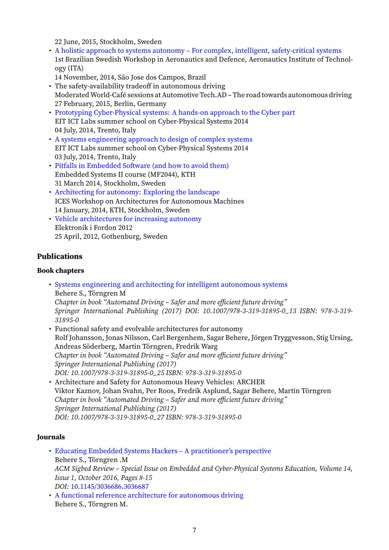22 June, 2015, Stockholm, Sweden

- A holistic approach to systems autonomy For complex, intelligent, safety-critical systems 1st Brazilian Swedish Workshop in Aeronautics and Defence, Aeronautics Institute of Technology (ITA)
- 14 November, 2014, São Jose dos Campos, Brazil
- The safety-availability tradeoff in autonomous driving Moderated World-Café sessions at Automotive Tech.AD – The road towards autonomous driving 27 February, 2015, Berlin, Germany
- Prototyping Cyber‑Physical systems: A hands‑on approach to the Cyber part EIT ICT Labs summer school on Cyber‑Physical Systems 2014 04 July, 2014, Trento, Italy
- A systems engineering approach to design of complex systems [EIT ICT Labs summer school on Cyber‑Physical Systems 2014](https://sagar.se/presentations/cpse-prototyping-presentation.pdf) 03 July, 2014, Trento, Italy
- Pitfalls in Embedded Software (and how to avoid them) [Embedded Systems II course \(MF2044\), KTH](https://sagar.se/presentations/cpse-systems-presentation.pdf) 31 March 2014, Stockholm, Sweden
- Architecting for autonomy: Exploring the landscape [ICES Workshop on Architectures for Autonomous Mach](https://sagar.se/presentations/es2_presentation.pdf)ines 14 January, 2014, KTH, Stockholm, Sweden
- [Vehicle architectures for increasing autonomy](http://www.ices.kth.se/upload/events/68/459e76bf9fa24043b43a342ec69af6ef.pdf) Elektronik i Fordon 2012 25 April, 2012, Gothenburg, Sweden

# **Publ[ications](https://sagar.se/presentations/eif2012_presentation.pdf)**

## **Book chapters**

- <span id="page-6-1"></span><span id="page-6-0"></span>• Systems engineering and architecting for intelligent autonomous systems Behere S., Törngren M *Chapter in book "Automated Driving – Safer and more efficient future driving" [Springer International Publishing \(2017\) DOI: 10.1007/978‑3‑319‑31895‑0\\_](https://sagar.se/publications/SpringerBookChap.pdf)13 ISBN: 978‑3‑319‑ 31895‑0*
- Functional safety and evolvable architectures for autonomy Rolf Johansson, Jonas Nilsson, Carl Bergenhem, Sagar Behere, Jörgen Tryggvesson, Stig Ursing, Andreas Söderberg, Martin Törngren, Fredrik Warg *Chapter in book "Automated Driving – Safer and more efficient future driving" Springer International Publishing (2017) DOI: 10.1007/978‑3‑319‑31895‑0\_25 ISBN: 978‑3‑319‑31895‑0* • Architecture and Safety for Autonomous Heavy Vehicles: ARCHER
- Viktor Kaznov, Johan Svahn, Per Roos, Fredrik Asplund, Sagar Behere, Martin Törngren *Chapter in book "Automated Driving – Safer and more efficient future driving" Springer International Publishing (2017) DOI: 10.1007/978‑3‑319‑31895‑0\_27 ISBN: 978‑3‑319‑31895‑0*

## **Journals**

- <span id="page-6-2"></span>• Educating Embedded Systems Hackers – A practitioner's perspective Behere S., Törngren .M *ACM Sigbed Review – Special Issue on Embedded and Cyber‑Physical Systems Education, Volume 14, Issue 1, October 2016, Pages 8‑15 DOI:* [10.1145/3036686.3036687](https://sagar.se/publications/acm-sigbed.pdf)
- A functional reference architecture for autonomous driving Behere S., Törngren M.